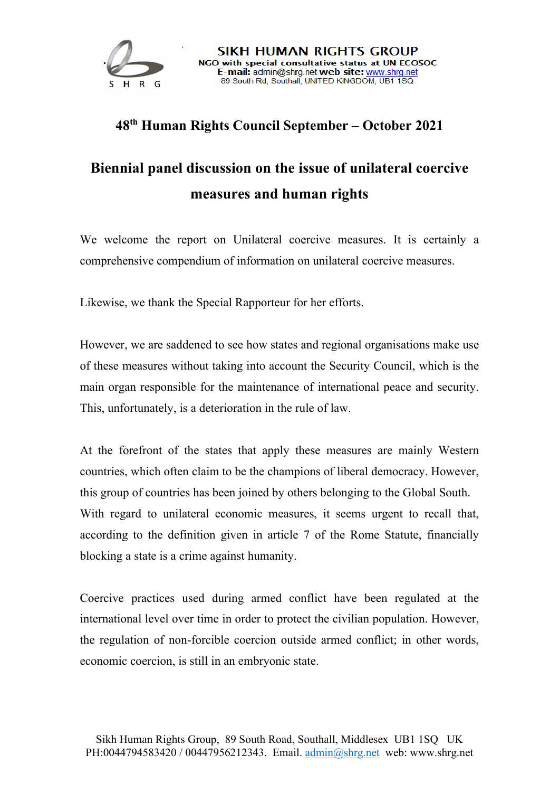

## **48th Human Rights Council September – October 2021**

## **Biennial panel discussion on the issue of unilateral coercive measures and human rights**

We welcome the report on Unilateral coercive measures. It is certainly a comprehensive compendium of information on unilateral coercive measures.

Likewise, we thank the Special Rapporteur for her efforts.

However, we are saddened to see how states and regional organisations make use of these measures without taking into account the Security Council, which is the main organ responsible for the maintenance of international peace and security. This, unfortunately, is a deterioration in the rule of law.

At the forefront of the states that apply these measures are mainly Western countries, which often claim to be the champions of liberal democracy. However, this group of countries has been joined by others belonging to the Global South. With regard to unilateral economic measures, it seems urgent to recall that, according to the definition given in article 7 of the Rome Statute, financially blocking a state is a crime against humanity.

Coercive practices used during armed conflict have been regulated at the international level over time in order to protect the civilian population. However, the regulation of non-forcible coercion outside armed conflict; in other words, economic coercion, is still in an embryonic state.